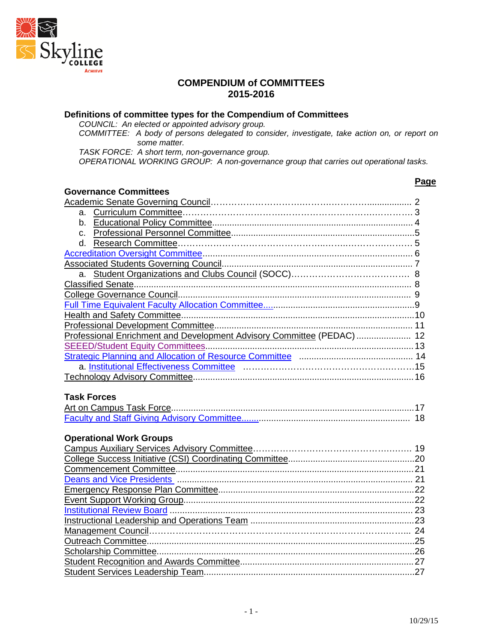

#### **COMPENDIUM of COMMITTEES 2015-2016**

#### **Definitions of committee types for the Compendium of Committees**

*COUNCIL: An elected or appointed advisory group.*

*COMMITTEE: A body of persons delegated to consider, investigate, take action on, or report on some matter.*

*TASK FORCE: A short term, non-governance group.*

*OPERATIONAL WORKING GROUP: A non-governance group that carries out operational tasks.*

## **Governance Committees**

| Governance Committees                                                   |    |
|-------------------------------------------------------------------------|----|
|                                                                         |    |
|                                                                         |    |
|                                                                         |    |
|                                                                         |    |
|                                                                         |    |
|                                                                         |    |
|                                                                         |    |
|                                                                         |    |
| Classified Senate                                                       |    |
|                                                                         |    |
|                                                                         |    |
|                                                                         |    |
|                                                                         |    |
| Professional Enrichment and Development Advisory Committee (PEDAC)  12  |    |
|                                                                         |    |
|                                                                         |    |
|                                                                         |    |
|                                                                         |    |
|                                                                         |    |
| <b>Task Forces</b>                                                      |    |
|                                                                         |    |
|                                                                         |    |
|                                                                         |    |
| <b>Operational Work Groups</b>                                          |    |
|                                                                         |    |
|                                                                         |    |
| Commencement Committee Committee Commence of the Commencement Committee | 21 |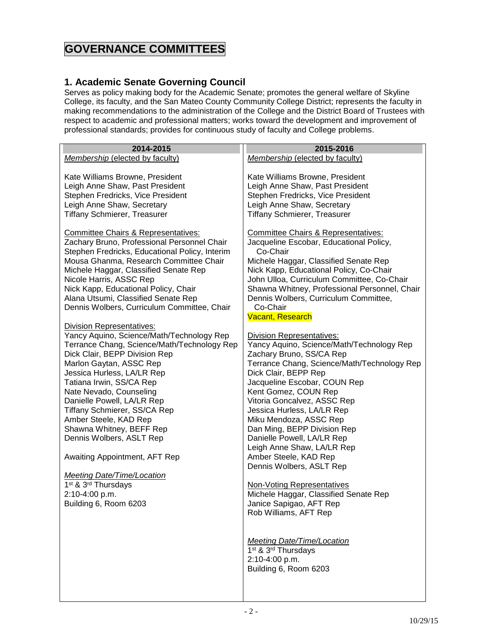# **GOVERNANCE COMMITTEES**

#### <span id="page-1-0"></span>**1. Academic Senate Governing Council**

Serves as policy making body for the Academic Senate; promotes the general welfare of Skyline College, its faculty, and the San Mateo County Community College District; represents the faculty in making recommendations to the administration of the College and the District Board of Trustees with respect to academic and professional matters; works toward the development and improvement of professional standards; provides for continuous study of faculty and College problems.

| 2014-2015                                      | 2015-2016                                      |
|------------------------------------------------|------------------------------------------------|
| Membership (elected by faculty)                | Membership (elected by faculty)                |
|                                                |                                                |
| Kate Williams Browne, President                | Kate Williams Browne, President                |
| Leigh Anne Shaw, Past President                | Leigh Anne Shaw, Past President                |
| Stephen Fredricks, Vice President              | Stephen Fredricks, Vice President              |
| Leigh Anne Shaw, Secretary                     | Leigh Anne Shaw, Secretary                     |
| Tiffany Schmierer, Treasurer                   | Tiffany Schmierer, Treasurer                   |
|                                                |                                                |
| <b>Committee Chairs &amp; Representatives:</b> | <b>Committee Chairs &amp; Representatives:</b> |
| Zachary Bruno, Professional Personnel Chair    | Jacqueline Escobar, Educational Policy,        |
| Stephen Fredricks, Educational Policy, Interim | Co-Chair                                       |
|                                                |                                                |
| Mousa Ghanma, Research Committee Chair         | Michele Haggar, Classified Senate Rep          |
| Michele Haggar, Classified Senate Rep          | Nick Kapp, Educational Policy, Co-Chair        |
| Nicole Harris, ASSC Rep                        | John Ulloa, Curriculum Committee, Co-Chair     |
| Nick Kapp, Educational Policy, Chair           | Shawna Whitney, Professional Personnel, Chair  |
| Alana Utsumi, Classified Senate Rep            | Dennis Wolbers, Curriculum Committee,          |
| Dennis Wolbers, Curriculum Committee, Chair    | Co-Chair                                       |
|                                                | <b>Vacant, Research</b>                        |
| <b>Division Representatives:</b>               |                                                |
| Yancy Aquino, Science/Math/Technology Rep      | <b>Division Representatives:</b>               |
| Terrance Chang, Science/Math/Technology Rep    | Yancy Aquino, Science/Math/Technology Rep      |
| Dick Clair, BEPP Division Rep                  | Zachary Bruno, SS/CA Rep                       |
| Marlon Gaytan, ASSC Rep                        | Terrance Chang, Science/Math/Technology Rep    |
| Jessica Hurless, LA/LR Rep                     | Dick Clair, BEPP Rep                           |
| Tatiana Irwin, SS/CA Rep                       | Jacqueline Escobar, COUN Rep                   |
| Nate Nevado, Counseling                        | Kent Gomez, COUN Rep                           |
|                                                |                                                |
| Danielle Powell, LA/LR Rep                     | Vitoria Goncalvez, ASSC Rep                    |
| Tiffany Schmierer, SS/CA Rep                   | Jessica Hurless, LA/LR Rep                     |
| Amber Steele, KAD Rep                          | Miku Mendoza, ASSC Rep                         |
| Shawna Whitney, BEFF Rep                       | Dan Ming, BEPP Division Rep                    |
| Dennis Wolbers, ASLT Rep                       | Danielle Powell, LA/LR Rep                     |
|                                                | Leigh Anne Shaw, LA/LR Rep                     |
| Awaiting Appointment, AFT Rep                  | Amber Steele, KAD Rep                          |
|                                                | Dennis Wolbers, ASLT Rep                       |
| <b>Meeting Date/Time/Location</b>              |                                                |
| 1 <sup>st</sup> & 3 <sup>rd</sup> Thursdays    | <b>Non-Voting Representatives</b>              |
| 2:10-4:00 p.m.                                 | Michele Haggar, Classified Senate Rep          |
| Building 6, Room 6203                          | Janice Sapigao, AFT Rep                        |
|                                                | Rob Williams, AFT Rep                          |
|                                                |                                                |
|                                                |                                                |
|                                                | <b>Meeting Date/Time/Location</b>              |
|                                                | 1 <sup>st</sup> & 3 <sup>rd</sup> Thursdays    |
|                                                | 2:10-4:00 p.m.                                 |
|                                                |                                                |
|                                                | Building 6, Room 6203                          |
|                                                |                                                |
|                                                |                                                |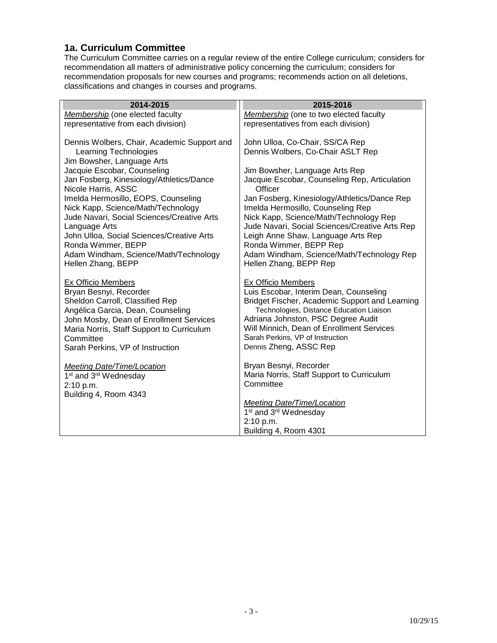#### <span id="page-2-0"></span>**1a. Curriculum Committee**

The Curriculum Committee carries on a regular review of the entire College curriculum; considers for recommendation all matters of administrative policy concerning the curriculum; considers for recommendation proposals for new courses and programs; recommends action on all deletions, classifications and changes in courses and programs.

| 2014-2015                                                                                                                                                                                                                                                                  | 2015-2016                                                                                                                                                                                                                                                                                                            |
|----------------------------------------------------------------------------------------------------------------------------------------------------------------------------------------------------------------------------------------------------------------------------|----------------------------------------------------------------------------------------------------------------------------------------------------------------------------------------------------------------------------------------------------------------------------------------------------------------------|
| Membership (one elected faculty                                                                                                                                                                                                                                            | Membership (one to two elected faculty                                                                                                                                                                                                                                                                               |
| representative from each division)                                                                                                                                                                                                                                         | representatives from each division)                                                                                                                                                                                                                                                                                  |
| Dennis Wolbers, Chair, Academic Support and<br><b>Learning Technologies</b><br>Jim Bowsher, Language Arts                                                                                                                                                                  | John Ulloa, Co-Chair, SS/CA Rep<br>Dennis Wolbers, Co-Chair ASLT Rep                                                                                                                                                                                                                                                 |
| Jacquie Escobar, Counseling                                                                                                                                                                                                                                                | Jim Bowsher, Language Arts Rep                                                                                                                                                                                                                                                                                       |
| Jan Fosberg, Kinesiology/Athletics/Dance                                                                                                                                                                                                                                   | Jacquie Escobar, Counseling Rep, Articulation                                                                                                                                                                                                                                                                        |
| Nicole Harris, ASSC                                                                                                                                                                                                                                                        | Officer                                                                                                                                                                                                                                                                                                              |
| Imelda Hermosillo, EOPS, Counseling<br>Nick Kapp, Science/Math/Technology<br>Jude Navari, Social Sciences/Creative Arts<br>Language Arts<br>John Ulloa, Social Sciences/Creative Arts<br>Ronda Wimmer, BEPP<br>Adam Windham, Science/Math/Technology<br>Hellen Zhang, BEPP | Jan Fosberg, Kinesiology/Athletics/Dance Rep<br>Imelda Hermosillo, Counseling Rep<br>Nick Kapp, Science/Math/Technology Rep<br>Jude Navari, Social Sciences/Creative Arts Rep<br>Leigh Anne Shaw, Language Arts Rep<br>Ronda Wimmer, BEPP Rep<br>Adam Windham, Science/Math/Technology Rep<br>Hellen Zhang, BEPP Rep |
| <b>Ex Officio Members</b><br>Bryan Besnyi, Recorder<br>Sheldon Carroll, Classified Rep<br>Angélica Garcia, Dean, Counseling<br>John Mosby, Dean of Enrollment Services<br>Maria Norris, Staff Support to Curriculum<br>Committee<br>Sarah Perkins, VP of Instruction       | <b>Ex Officio Members</b><br>Luis Escobar, Interim Dean, Counseling<br>Bridget Fischer, Academic Support and Learning<br>Technologies, Distance Education Liaison<br>Adriana Johnston, PSC Degree Audit<br>Will Minnich, Dean of Enrollment Services<br>Sarah Perkins, VP of Instruction<br>Dennis Zheng, ASSC Rep   |
| <b>Meeting Date/Time/Location</b><br>1 <sup>st</sup> and 3 <sup>rd</sup> Wednesday<br>2:10 p.m.                                                                                                                                                                            | Bryan Besnyi, Recorder<br>Maria Norris, Staff Support to Curriculum<br>Committee                                                                                                                                                                                                                                     |
| Building 4, Room 4343                                                                                                                                                                                                                                                      | <b>Meeting Date/Time/Location</b>                                                                                                                                                                                                                                                                                    |
|                                                                                                                                                                                                                                                                            | 1 <sup>st</sup> and 3 <sup>rd</sup> Wednesday                                                                                                                                                                                                                                                                        |
|                                                                                                                                                                                                                                                                            | 2:10 p.m.                                                                                                                                                                                                                                                                                                            |
|                                                                                                                                                                                                                                                                            | Building 4, Room 4301                                                                                                                                                                                                                                                                                                |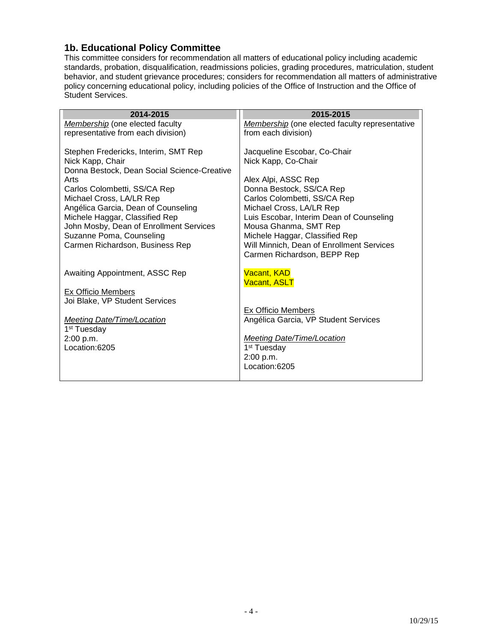#### <span id="page-3-0"></span>**1b. Educational Policy Committee**

This committee considers for recommendation all matters of educational policy including academic standards, probation, disqualification, readmissions policies, grading procedures, matriculation, student behavior, and student grievance procedures; considers for recommendation all matters of administrative policy concerning educational policy, including policies of the Office of Instruction and the Office of Student Services.

| 2014-2015                                   | 2015-2015                                                    |
|---------------------------------------------|--------------------------------------------------------------|
| Membership (one elected faculty             | <b>Membership</b> (one elected faculty representative        |
| representative from each division)          | from each division)                                          |
|                                             |                                                              |
| Stephen Fredericks, Interim, SMT Rep        | Jacqueline Escobar, Co-Chair                                 |
| Nick Kapp, Chair                            | Nick Kapp, Co-Chair                                          |
| Donna Bestock, Dean Social Science-Creative |                                                              |
| Arts                                        | Alex Alpi, ASSC Rep                                          |
| Carlos Colombetti, SS/CA Rep                | Donna Bestock, SS/CA Rep                                     |
| Michael Cross, LA/LR Rep                    | Carlos Colombetti, SS/CA Rep                                 |
| Angélica Garcia, Dean of Counseling         | Michael Cross, LA/LR Rep                                     |
| Michele Haggar, Classified Rep              | Luis Escobar, Interim Dean of Counseling                     |
| John Mosby, Dean of Enrollment Services     | Mousa Ghanma, SMT Rep                                        |
| Suzanne Poma, Counseling                    | Michele Haggar, Classified Rep                               |
| Carmen Richardson, Business Rep             | Will Minnich, Dean of Enrollment Services                    |
|                                             | Carmen Richardson, BEPP Rep                                  |
|                                             |                                                              |
| Awaiting Appointment, ASSC Rep              | <b>Vacant, KAD</b>                                           |
|                                             | <b>Vacant, ASLT</b>                                          |
| <b>Ex Officio Members</b>                   |                                                              |
| Joi Blake, VP Student Services              |                                                              |
|                                             | Ex Officio Members                                           |
| Meeting Date/Time/Location                  | Angélica Garcia, VP Student Services                         |
| 1 <sup>st</sup> Tuesday                     |                                                              |
| 2:00 p.m.<br>Location:6205                  | <b>Meeting Date/Time/Location</b><br>1 <sup>st</sup> Tuesday |
|                                             | 2:00 p.m.                                                    |
|                                             | Location:6205                                                |
|                                             |                                                              |
|                                             |                                                              |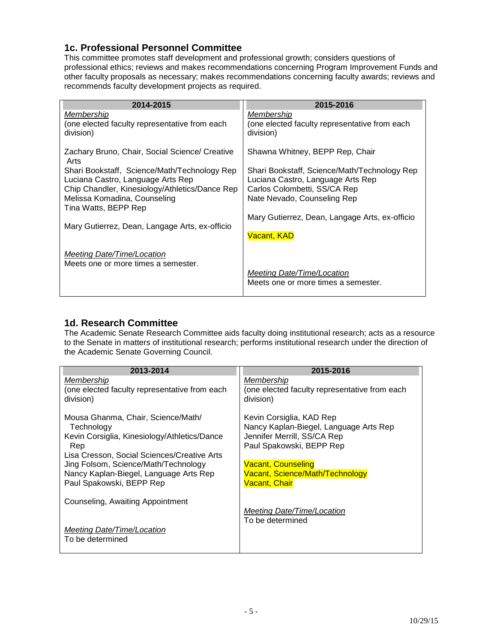#### <span id="page-4-0"></span>**1c. Professional Personnel Committee**

This committee promotes staff development and professional growth; considers questions of professional ethics; reviews and makes recommendations concerning Program Improvement Funds and other faculty proposals as necessary; makes recommendations concerning faculty awards; reviews and recommends faculty development projects as required.

| 2014-2015                                              | 2015-2016                                      |
|--------------------------------------------------------|------------------------------------------------|
| <u>Membership</u>                                      | <u>Membership</u>                              |
| (one elected faculty representative from each          | (one elected faculty representative from each  |
| division)                                              | division)                                      |
| Zachary Bruno, Chair, Social Science/ Creative<br>Arts | Shawna Whitney, BEPP Rep, Chair                |
| Shari Bookstaff, Science/Math/Technology Rep           | Shari Bookstaff, Science/Math/Technology Rep   |
| Luciana Castro, Language Arts Rep                      | Luciana Castro, Language Arts Rep              |
| Chip Chandler, Kinesiology/Athletics/Dance Rep         | Carlos Colombetti, SS/CA Rep                   |
| Melissa Komadina, Counseling                           | Nate Nevado, Counseling Rep                    |
| Tina Watts, BEPP Rep                                   | Mary Gutierrez, Dean, Langage Arts, ex-officio |
| Mary Gutierrez, Dean, Langage Arts, ex-officio         | Vacant, KAD                                    |
| Meeting Date/Time/Location                             | Meeting Date/Time/Location                     |
| Meets one or more times a semester.                    | Meets one or more times a semester.            |

#### <span id="page-4-1"></span>**1d. Research Committee**

The Academic Senate Research Committee aids faculty doing institutional research; acts as a resource to the Senate in matters of institutional research; performs institutional research under the direction of the Academic Senate Governing Council.

| 2013-2014                                                          | 2015-2016                                                          |
|--------------------------------------------------------------------|--------------------------------------------------------------------|
| Membership<br>(one elected faculty representative from each        | Membership<br>(one elected faculty representative from each        |
| division)                                                          | division)                                                          |
| Mousa Ghanma, Chair, Science/Math/<br>Technology                   | Kevin Corsiglia, KAD Rep<br>Nancy Kaplan-Biegel, Language Arts Rep |
| Kevin Corsiglia, Kinesiology/Athletics/Dance                       | Jennifer Merrill, SS/CA Rep                                        |
| Rep<br>Lisa Cresson, Social Sciences/Creative Arts                 | Paul Spakowski, BEPP Rep                                           |
| Jing Folsom, Science/Math/Technology                               | <b>Vacant, Counseling</b>                                          |
| Nancy Kaplan-Biegel, Language Arts Rep<br>Paul Spakowski, BEPP Rep | Vacant, Science/Math/Technology<br><u> Vacant, Chair</u>           |
| Counseling, Awaiting Appointment                                   | Meeting Date/Time/Location                                         |
| <b>Meeting Date/Time/Location</b><br>To be determined              | To be determined                                                   |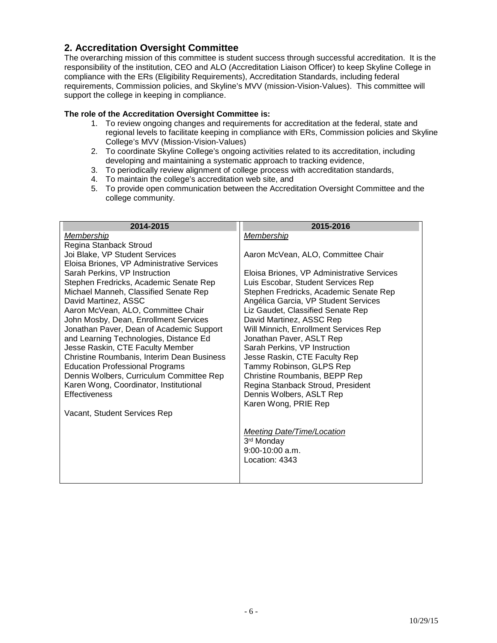#### <span id="page-5-0"></span>**2. Accreditation Oversight Committee**

The overarching mission of this committee is student success through successful accreditation. It is the responsibility of the institution, CEO and ALO (Accreditation Liaison Officer) to keep Skyline College in compliance with the ERs (Eligibility Requirements), Accreditation Standards, including federal requirements, Commission policies, and Skyline's MVV (mission-Vision-Values). This committee will support the college in keeping in compliance.

#### **The role of the Accreditation Oversight Committee is:**

- 1. To review ongoing changes and requirements for accreditation at the federal, state and regional levels to facilitate keeping in compliance with ERs, Commission policies and Skyline College's MVV (Mission-Vision-Values)
- 2. To coordinate Skyline College's ongoing activities related to its accreditation, including developing and maintaining a systematic approach to tracking evidence,
- 3. To periodically review alignment of college process with accreditation standards,
- 4. To maintain the college's accreditation web site, and
- 5. To provide open communication between the Accreditation Oversight Committee and the college community.

| 2014-2015                                                                  | 2015-2016                                                 |
|----------------------------------------------------------------------------|-----------------------------------------------------------|
| Membership                                                                 | Membership                                                |
| Regina Stanback Stroud                                                     |                                                           |
| Joi Blake, VP Student Services                                             | Aaron McVean, ALO, Committee Chair                        |
| Eloisa Briones, VP Administrative Services                                 |                                                           |
| Sarah Perkins, VP Instruction                                              | Eloisa Briones, VP Administrative Services                |
| Stephen Fredricks, Academic Senate Rep                                     | Luis Escobar, Student Services Rep                        |
| Michael Manneh, Classified Senate Rep                                      | Stephen Fredricks, Academic Senate Rep                    |
| David Martinez, ASSC                                                       | Angélica Garcia, VP Student Services                      |
| Aaron McVean, ALO, Committee Chair                                         | Liz Gaudet, Classified Senate Rep                         |
| John Mosby, Dean, Enrollment Services                                      | David Martinez, ASSC Rep                                  |
| Jonathan Paver, Dean of Academic Support                                   | Will Minnich, Enrollment Services Rep                     |
| and Learning Technologies, Distance Ed<br>Jesse Raskin, CTE Faculty Member | Jonathan Paver, ASLT Rep<br>Sarah Perkins, VP Instruction |
| Christine Roumbanis, Interim Dean Business                                 | Jesse Raskin, CTE Faculty Rep                             |
| <b>Education Professional Programs</b>                                     | Tammy Robinson, GLPS Rep                                  |
| Dennis Wolbers, Curriculum Committee Rep                                   | Christine Roumbanis, BEPP Rep                             |
| Karen Wong, Coordinator, Institutional                                     | Regina Stanback Stroud, President                         |
| <b>Effectiveness</b>                                                       | Dennis Wolbers, ASLT Rep                                  |
|                                                                            | Karen Wong, PRIE Rep                                      |
| Vacant, Student Services Rep                                               |                                                           |
|                                                                            |                                                           |
|                                                                            | Meeting Date/Time/Location                                |
|                                                                            | 3 <sup>rd</sup> Monday                                    |
|                                                                            | $9:00-10:00$ a.m.                                         |
|                                                                            | Location: 4343                                            |
|                                                                            |                                                           |
|                                                                            |                                                           |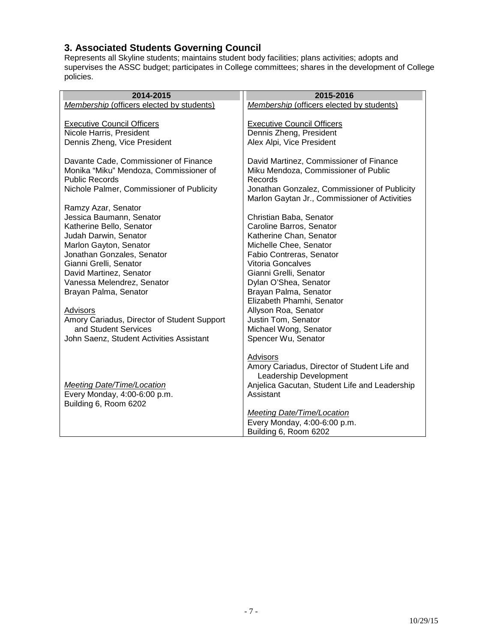#### <span id="page-6-0"></span>**3. Associated Students Governing Council**

Represents all Skyline students; maintains student body facilities; plans activities; adopts and supervises the ASSC budget; participates in College committees; shares in the development of College policies.

| 2014-2015                                         | 2015-2016                                            |
|---------------------------------------------------|------------------------------------------------------|
| Membership (officers elected by students)         | Membership (officers elected by students)            |
|                                                   |                                                      |
| <b>Executive Council Officers</b>                 | <b>Executive Council Officers</b>                    |
| Nicole Harris, President                          | Dennis Zheng, President                              |
| Dennis Zheng, Vice President                      | Alex Alpi, Vice President                            |
| Davante Cade, Commissioner of Finance             | David Martinez, Commissioner of Finance              |
| Monika "Miku" Mendoza, Commissioner of            | Miku Mendoza, Commissioner of Public                 |
| <b>Public Records</b>                             | Records                                              |
| Nichole Palmer, Commissioner of Publicity         | Jonathan Gonzalez, Commissioner of Publicity         |
|                                                   | Marlon Gaytan Jr., Commissioner of Activities        |
| Ramzy Azar, Senator                               |                                                      |
| Jessica Baumann, Senator                          | Christian Baba, Senator                              |
| Katherine Bello, Senator                          | Caroline Barros, Senator                             |
| Judah Darwin, Senator                             | Katherine Chan, Senator                              |
| Marlon Gayton, Senator                            | Michelle Chee, Senator                               |
| Jonathan Gonzales, Senator                        | Fabio Contreras, Senator<br><b>Vitoria Goncalves</b> |
| Gianni Grelli, Senator<br>David Martinez, Senator | Gianni Grelli, Senator                               |
| Vanessa Melendrez, Senator                        | Dylan O'Shea, Senator                                |
| Brayan Palma, Senator                             | Brayan Palma, Senator                                |
|                                                   | Elizabeth Phamhi, Senator                            |
| Advisors                                          | Allyson Roa, Senator                                 |
| Amory Cariadus, Director of Student Support       | Justin Tom, Senator                                  |
| and Student Services                              | Michael Wong, Senator                                |
| John Saenz, Student Activities Assistant          | Spencer Wu, Senator                                  |
|                                                   |                                                      |
|                                                   | Advisors                                             |
|                                                   | Amory Cariadus, Director of Student Life and         |
|                                                   | Leadership Development                               |
| <b>Meeting Date/Time/Location</b>                 | Anjelica Gacutan, Student Life and Leadership        |
| Every Monday, 4:00-6:00 p.m.                      | Assistant                                            |
| Building 6, Room 6202                             |                                                      |
|                                                   | <b>Meeting Date/Time/Location</b>                    |
|                                                   | Every Monday, 4:00-6:00 p.m.                         |
|                                                   | Building 6, Room 6202                                |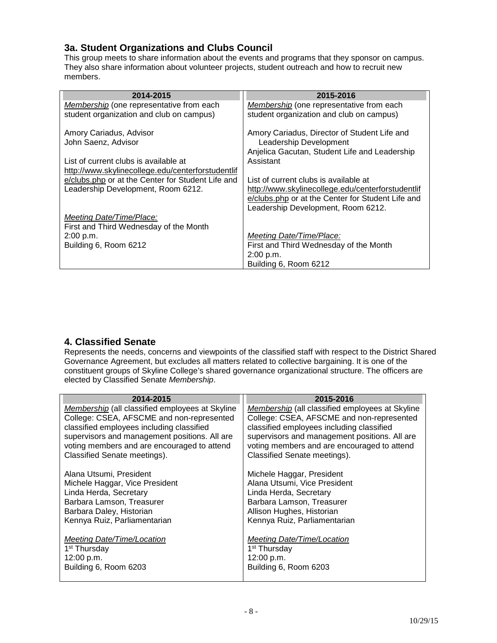## <span id="page-7-0"></span>**3a. Student Organizations and Clubs Council**

This group meets to share information about the events and programs that they sponsor on campus. They also share information about volunteer projects, student outreach and how to recruit new members.

| 2014-2015                                         | 2015-2016                                         |
|---------------------------------------------------|---------------------------------------------------|
| Membership (one representative from each          | Membership (one representative from each          |
| student organization and club on campus)          | student organization and club on campus)          |
| Amory Cariadus, Advisor                           | Amory Cariadus, Director of Student Life and      |
| John Saenz, Advisor                               | Leadership Development                            |
|                                                   | Anjelica Gacutan, Student Life and Leadership     |
| List of current clubs is available at             | Assistant                                         |
| http://www.skylinecollege.edu/centerforstudentlif |                                                   |
| e/clubs.php or at the Center for Student Life and | List of current clubs is available at             |
| Leadership Development, Room 6212.                | http://www.skylinecollege.edu/centerforstudentlif |
|                                                   | e/clubs.php or at the Center for Student Life and |
|                                                   | Leadership Development, Room 6212.                |
| <b>Meeting Date/Time/Place:</b>                   |                                                   |
| First and Third Wednesday of the Month            |                                                   |
| 2:00 p.m.                                         | Meeting Date/Time/Place:                          |
| Building 6, Room 6212                             | First and Third Wednesday of the Month            |
|                                                   | 2:00 p.m.                                         |
|                                                   | Building 6, Room 6212                             |

# <span id="page-7-1"></span>**4. Classified Senate**

Represents the needs, concerns and viewpoints of the classified staff with respect to the District Shared Governance Agreement, but excludes all matters related to collective bargaining. It is one of the constituent groups of Skyline College's shared governance organizational structure. The officers are elected by Classified Senate *Membership*.

| 2014-2015                                       | 2015-2016                                       |
|-------------------------------------------------|-------------------------------------------------|
| Membership (all classified employees at Skyline | Membership (all classified employees at Skyline |
| College: CSEA, AFSCME and non-represented       | College: CSEA, AFSCME and non-represented       |
| classified employees including classified       | classified employees including classified       |
| supervisors and management positions. All are   | supervisors and management positions. All are   |
| voting members and are encouraged to attend     | voting members and are encouraged to attend     |
| Classified Senate meetings).                    | Classified Senate meetings).                    |
|                                                 |                                                 |
| Alana Utsumi, President                         | Michele Haggar, President                       |
| Michele Haggar, Vice President                  | Alana Utsumi, Vice President                    |
| Linda Herda, Secretary                          | Linda Herda, Secretary                          |
| Barbara Lamson, Treasurer                       | Barbara Lamson, Treasurer                       |
| Barbara Daley, Historian                        | Allison Hughes, Historian                       |
| Kennya Ruiz, Parliamentarian                    | Kennya Ruiz, Parliamentarian                    |
|                                                 |                                                 |
| <b>Meeting Date/Time/Location</b>               | <b>Meeting Date/Time/Location</b>               |
| 1 <sup>st</sup> Thursday                        | 1 <sup>st</sup> Thursday                        |
| 12:00 p.m.                                      | 12:00 p.m.                                      |
| Building 6, Room 6203                           | Building 6, Room 6203                           |
|                                                 |                                                 |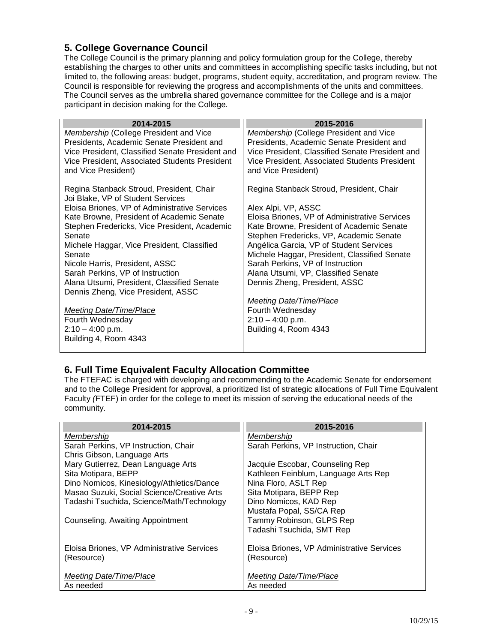## <span id="page-8-0"></span>**5. College Governance Council**

The College Council is the primary planning and policy formulation group for the College, thereby establishing the charges to other units and committees in accomplishing specific tasks including, but not limited to, the following areas: budget, programs, student equity, accreditation, and program review. The Council is responsible for reviewing the progress and accomplishments of the units and committees. The Council serves as the umbrella shared governance committee for the College and is a major participant in decision making for the College.

| 2014-2015                                       | 2015-2016                                       |
|-------------------------------------------------|-------------------------------------------------|
| <b>Membership (College President and Vice</b>   | <b>Membership (College President and Vice</b>   |
| Presidents, Academic Senate President and       | Presidents, Academic Senate President and       |
| Vice President, Classified Senate President and | Vice President, Classified Senate President and |
| Vice President, Associated Students President   | Vice President, Associated Students President   |
| and Vice President)                             | and Vice President)                             |
|                                                 |                                                 |
| Regina Stanback Stroud, President, Chair        | Regina Stanback Stroud, President, Chair        |
| Joi Blake, VP of Student Services               |                                                 |
| Eloisa Briones, VP of Administrative Services   | Alex Alpi, VP, ASSC                             |
| Kate Browne, President of Academic Senate       | Eloisa Briones, VP of Administrative Services   |
| Stephen Fredericks, Vice President, Academic    | Kate Browne, President of Academic Senate       |
| Senate                                          | Stephen Fredericks, VP, Academic Senate         |
| Michele Haggar, Vice President, Classified      | Angélica Garcia, VP of Student Services         |
| Senate                                          | Michele Haggar, President, Classified Senate    |
| Nicole Harris, President, ASSC                  | Sarah Perkins, VP of Instruction                |
| Sarah Perkins, VP of Instruction                | Alana Utsumi, VP, Classified Senate             |
| Alana Utsumi, President, Classified Senate      | Dennis Zheng, President, ASSC                   |
| Dennis Zheng, Vice President, ASSC              |                                                 |
|                                                 | <b>Meeting Date/Time/Place</b>                  |
| Meeting Date/Time/Place                         | Fourth Wednesday                                |
| Fourth Wednesday                                | $2:10 - 4:00$ p.m.                              |
| $2:10 - 4:00$ p.m.                              | Building 4, Room 4343                           |
| Building 4, Room 4343                           |                                                 |
|                                                 |                                                 |

#### <span id="page-8-1"></span>**6. Full Time Equivalent Faculty Allocation Committee**

The FTEFAC is charged with developing and recommending to the Academic Senate for endorsement and to the College President for approval, a prioritized list of strategic allocations of Full Time Equivalent Faculty *(*FTEF) in order for the college to meet its mission of serving the educational needs of the community.

| 2014-2015                                  | 2015-2016                                  |
|--------------------------------------------|--------------------------------------------|
| Membership                                 | Membership                                 |
| Sarah Perkins, VP Instruction, Chair       | Sarah Perkins, VP Instruction, Chair       |
| Chris Gibson, Language Arts                |                                            |
| Mary Gutierrez, Dean Language Arts         | Jacquie Escobar, Counseling Rep            |
| Sita Motipara, BEPP                        | Kathleen Feinblum, Language Arts Rep       |
| Dino Nomicos, Kinesiology/Athletics/Dance  | Nina Floro, ASLT Rep                       |
| Masao Suzuki, Social Science/Creative Arts | Sita Motipara, BEPP Rep                    |
| Tadashi Tsuchida, Science/Math/Technology  | Dino Nomicos, KAD Rep                      |
|                                            | Mustafa Popal, SS/CA Rep                   |
| Counseling, Awaiting Appointment           | Tammy Robinson, GLPS Rep                   |
|                                            | Tadashi Tsuchida, SMT Rep                  |
| Eloisa Briones, VP Administrative Services | Eloisa Briones, VP Administrative Services |
| (Resource)                                 | (Resource)                                 |
|                                            |                                            |
| <b>Meeting Date/Time/Place</b>             | Meeting Date/Time/Place                    |
| As needed                                  | As needed                                  |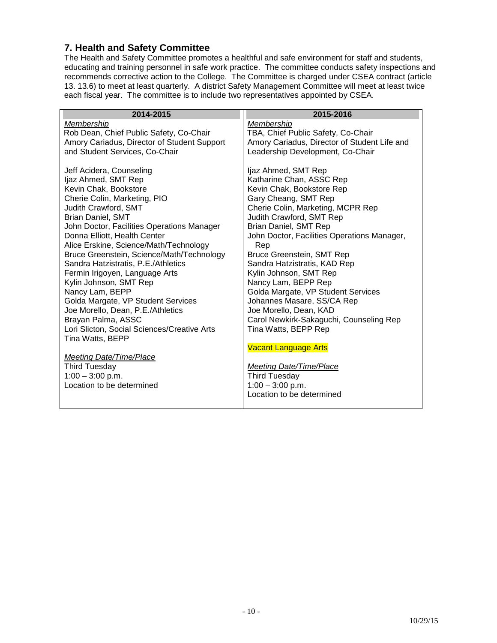#### <span id="page-9-0"></span>**7. Health and Safety Committee**

The Health and Safety Committee promotes a healthful and safe environment for staff and students, educating and training personnel in safe work practice. The committee conducts safety inspections and recommends corrective action to the College. The Committee is charged under CSEA contract (article 13. 13.6) to meet at least quarterly. A district Safety Management Committee will meet at least twice each fiscal year. The committee is to include two representatives appointed by CSEA.

| 2014-2015                                   | 2015-2016                                    |
|---------------------------------------------|----------------------------------------------|
| Membership                                  | Membership                                   |
| Rob Dean, Chief Public Safety, Co-Chair     | TBA, Chief Public Safety, Co-Chair           |
| Amory Cariadus, Director of Student Support | Amory Cariadus, Director of Student Life and |
| and Student Services, Co-Chair              | Leadership Development, Co-Chair             |
|                                             |                                              |
| Jeff Acidera, Counseling                    | Ijaz Ahmed, SMT Rep                          |
| Ijaz Ahmed, SMT Rep                         | Katharine Chan, ASSC Rep                     |
| Kevin Chak, Bookstore                       | Kevin Chak, Bookstore Rep                    |
| Cherie Colin, Marketing, PIO                | Gary Cheang, SMT Rep                         |
| Judith Crawford, SMT                        | Cherie Colin, Marketing, MCPR Rep            |
| <b>Brian Daniel, SMT</b>                    | Judith Crawford, SMT Rep                     |
| John Doctor, Facilities Operations Manager  | Brian Daniel, SMT Rep                        |
| Donna Elliott, Health Center                | John Doctor, Facilities Operations Manager,  |
| Alice Erskine, Science/Math/Technology      | Rep                                          |
| Bruce Greenstein, Science/Math/Technology   | Bruce Greenstein, SMT Rep                    |
| Sandra Hatzistratis, P.E./Athletics         | Sandra Hatzistratis, KAD Rep                 |
| Fermin Irigoyen, Language Arts              | Kylin Johnson, SMT Rep                       |
| Kylin Johnson, SMT Rep                      | Nancy Lam, BEPP Rep                          |
| Nancy Lam, BEPP                             | Golda Margate, VP Student Services           |
| Golda Margate, VP Student Services          | Johannes Masare, SS/CA Rep                   |
| Joe Morello, Dean, P.E./Athletics           | Joe Morello, Dean, KAD                       |
| Brayan Palma, ASSC                          | Carol Newkirk-Sakaguchi, Counseling Rep      |
| Lori Slicton, Social Sciences/Creative Arts | Tina Watts, BEPP Rep                         |
| Tina Watts, BEPP                            |                                              |
|                                             | <b>Vacant Language Arts</b>                  |
| <b>Meeting Date/Time/Place</b>              |                                              |
| <b>Third Tuesday</b>                        | <b>Meeting Date/Time/Place</b>               |
| $1:00 - 3:00$ p.m.                          | <b>Third Tuesday</b>                         |
| Location to be determined                   | $1:00 - 3:00$ p.m.                           |
|                                             | Location to be determined                    |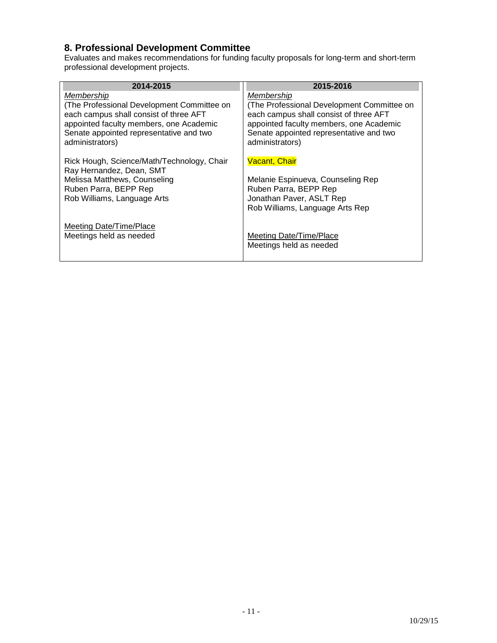## <span id="page-10-0"></span>**8. Professional Development Committee**

Evaluates and makes recommendations for funding faculty proposals for long-term and short-term professional development projects.

| 2014-2015                                  | 2015-2016                                  |
|--------------------------------------------|--------------------------------------------|
| Membership                                 | Membership                                 |
| (The Professional Development Committee on | (The Professional Development Committee on |
| each campus shall consist of three AFT     | each campus shall consist of three AFT     |
| appointed faculty members, one Academic    | appointed faculty members, one Academic    |
| Senate appointed representative and two    | Senate appointed representative and two    |
| administrators)                            | administrators)                            |
| Rick Hough, Science/Math/Technology, Chair | <b>Vacant, Chair</b>                       |
| Ray Hernandez, Dean, SMT                   | Melanie Espinueva, Counseling Rep          |
| Melissa Matthews, Counseling               | Ruben Parra, BEPP Rep                      |
| Ruben Parra, BEPP Rep                      | Jonathan Paver, ASLT Rep                   |
| Rob Williams, Language Arts                | Rob Williams, Language Arts Rep            |
| Meeting Date/Time/Place                    | Meeting Date/Time/Place                    |
| Meetings held as needed                    | Meetings held as needed                    |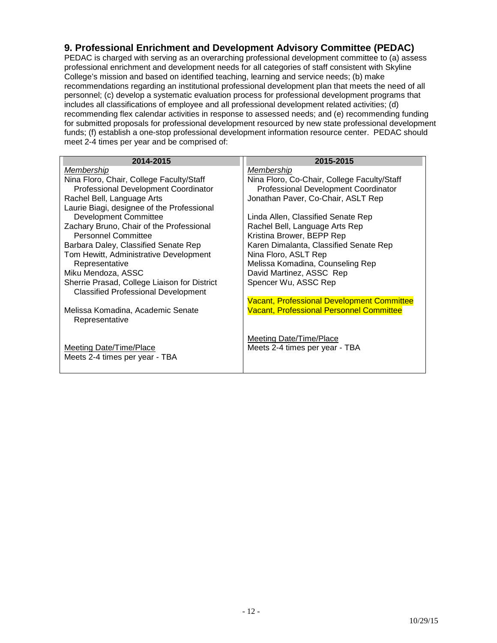#### <span id="page-11-0"></span>**9. Professional Enrichment and Development Advisory Committee (PEDAC)**

PEDAC is charged with serving as an overarching professional development committee to (a) assess professional enrichment and development needs for all categories of staff consistent with Skyline College's mission and based on identified teaching, learning and service needs; (b) make recommendations regarding an institutional professional development plan that meets the need of all personnel; (c) develop a systematic evaluation process for professional development programs that includes all classifications of employee and all professional development related activities; (d) recommending flex calendar activities in response to assessed needs; and (e) recommending funding for submitted proposals for professional development resourced by new state professional development funds; (f) establish a one-stop professional development information resource center. PEDAC should meet 2-4 times per year and be comprised of:

| 2014-2015                                                                                  | 2015-2015                                         |
|--------------------------------------------------------------------------------------------|---------------------------------------------------|
| <u>Membership</u>                                                                          | <u>Membership</u>                                 |
| Nina Floro, Chair, College Faculty/Staff                                                   | Nina Floro, Co-Chair, College Faculty/Staff       |
| Professional Development Coordinator                                                       | Professional Development Coordinator              |
| Rachel Bell, Language Arts                                                                 | Jonathan Paver, Co-Chair, ASLT Rep                |
| Laurie Biagi, designee of the Professional                                                 |                                                   |
| <b>Development Committee</b>                                                               | Linda Allen, Classified Senate Rep                |
| Zachary Bruno, Chair of the Professional                                                   | Rachel Bell, Language Arts Rep                    |
| <b>Personnel Committee</b>                                                                 | Kristina Brower, BEPP Rep                         |
| Barbara Daley, Classified Senate Rep                                                       | Karen Dimalanta, Classified Senate Rep            |
| Tom Hewitt, Administrative Development                                                     | Nina Floro, ASLT Rep                              |
| Representative                                                                             | Melissa Komadina, Counseling Rep                  |
| Miku Mendoza, ASSC                                                                         | David Martinez, ASSC Rep                          |
| Sherrie Prasad, College Liaison for District<br><b>Classified Professional Development</b> | Spencer Wu, ASSC Rep                              |
|                                                                                            | <b>Vacant, Professional Development Committee</b> |
| Melissa Komadina, Academic Senate<br>Representative                                        | <b>Vacant, Professional Personnel Committee</b>   |
|                                                                                            |                                                   |
|                                                                                            | Meeting Date/Time/Place                           |
| Meeting Date/Time/Place                                                                    | Meets 2-4 times per year - TBA                    |
| Meets 2-4 times per year - TBA                                                             |                                                   |
|                                                                                            |                                                   |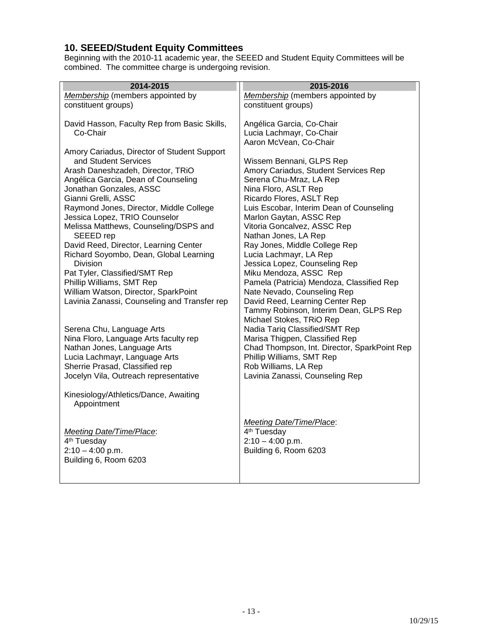#### <span id="page-12-0"></span>**10. SEEED/Student Equity Committees**

Beginning with the 2010-11 academic year, the SEEED and Student Equity Committees will be combined. The committee charge is undergoing revision.

| 2014-2015                                                           | 2015-2016                                                        |
|---------------------------------------------------------------------|------------------------------------------------------------------|
| Membership (members appointed by                                    | Membership (members appointed by                                 |
| constituent groups)                                                 | constituent groups)                                              |
|                                                                     |                                                                  |
| David Hasson, Faculty Rep from Basic Skills,                        | Angélica Garcia, Co-Chair                                        |
| Co-Chair                                                            | Lucia Lachmayr, Co-Chair                                         |
|                                                                     | Aaron McVean, Co-Chair                                           |
| Amory Cariadus, Director of Student Support<br>and Student Services | Wissem Bennani, GLPS Rep                                         |
| Arash Daneshzadeh, Director, TRiO                                   | Amory Cariadus, Student Services Rep                             |
| Angélica Garcia, Dean of Counseling                                 | Serena Chu-Mraz, LA Rep                                          |
| Jonathan Gonzales, ASSC                                             | Nina Floro, ASLT Rep                                             |
| Gianni Grelli, ASSC                                                 | Ricardo Flores, ASLT Rep                                         |
| Raymond Jones, Director, Middle College                             | Luis Escobar, Interim Dean of Counseling                         |
| Jessica Lopez, TRIO Counselor                                       | Marlon Gaytan, ASSC Rep                                          |
| Melissa Matthews, Counseling/DSPS and                               | Vitoria Goncalvez, ASSC Rep                                      |
| SEEED rep                                                           | Nathan Jones, LA Rep                                             |
| David Reed, Director, Learning Center                               | Ray Jones, Middle College Rep                                    |
| Richard Soyombo, Dean, Global Learning                              | Lucia Lachmayr, LA Rep                                           |
| Division                                                            | Jessica Lopez, Counseling Rep                                    |
| Pat Tyler, Classified/SMT Rep                                       | Miku Mendoza, ASSC Rep                                           |
| Phillip Williams, SMT Rep                                           | Pamela (Patricia) Mendoza, Classified Rep                        |
| William Watson, Director, SparkPoint                                | Nate Nevado, Counseling Rep                                      |
| Lavinia Zanassi, Counseling and Transfer rep                        | David Reed, Learning Center Rep                                  |
|                                                                     | Tammy Robinson, Interim Dean, GLPS Rep                           |
|                                                                     | Michael Stokes, TRiO Rep                                         |
| Serena Chu, Language Arts<br>Nina Floro, Language Arts faculty rep  | Nadia Tariq Classified/SMT Rep<br>Marisa Thigpen, Classified Rep |
| Nathan Jones, Language Arts                                         | Chad Thompson, Int. Director, SparkPoint Rep                     |
| Lucia Lachmayr, Language Arts                                       | Phillip Williams, SMT Rep                                        |
| Sherrie Prasad, Classified rep                                      | Rob Williams, LA Rep                                             |
| Jocelyn Vila, Outreach representative                               | Lavinia Zanassi, Counseling Rep                                  |
|                                                                     |                                                                  |
| Kinesiology/Athletics/Dance, Awaiting                               |                                                                  |
| Appointment                                                         |                                                                  |
|                                                                     |                                                                  |
|                                                                     | Meeting Date/Time/Place:                                         |
| Meeting Date/Time/Place:                                            | 4 <sup>th</sup> Tuesday                                          |
| 4 <sup>th</sup> Tuesday                                             | $2:10 - 4:00$ p.m.                                               |
| $2:10 - 4:00$ p.m.<br>Building 6, Room 6203                         | Building 6, Room 6203                                            |
|                                                                     |                                                                  |
|                                                                     |                                                                  |

- 13 -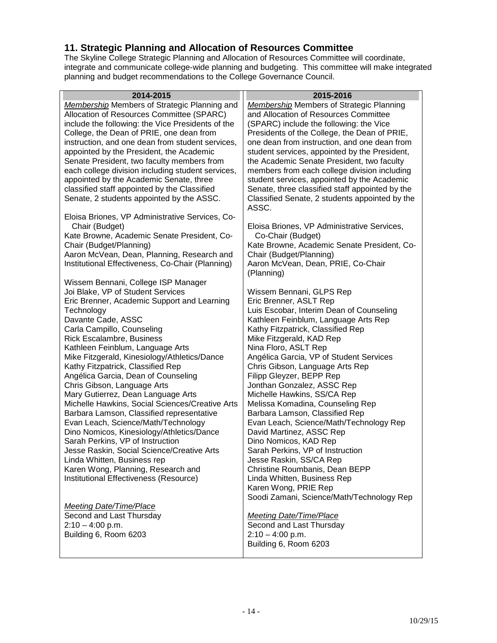#### <span id="page-13-0"></span>**11. Strategic Planning and Allocation of Resources Committee**

The Skyline College Strategic Planning and Allocation of Resources Committee will coordinate, integrate and communicate college-wide planning and budgeting. This committee will make integrated planning and budget recommendations to the College Governance Council.

<span id="page-13-1"></span>

| 2014-2015                                           | 2015-2016                                       |
|-----------------------------------------------------|-------------------------------------------------|
| <b>Membership Members of Strategic Planning and</b> | <b>Membership Members of Strategic Planning</b> |
| Allocation of Resources Committee (SPARC)           | and Allocation of Resources Committee           |
| include the following: the Vice Presidents of the   | (SPARC) include the following: the Vice         |
| College, the Dean of PRIE, one dean from            | Presidents of the College, the Dean of PRIE,    |
| instruction, and one dean from student services,    | one dean from instruction, and one dean from    |
| appointed by the President, the Academic            | student services, appointed by the President,   |
| Senate President, two faculty members from          | the Academic Senate President, two faculty      |
| each college division including student services,   | members from each college division including    |
| appointed by the Academic Senate, three             | student services, appointed by the Academic     |
| classified staff appointed by the Classified        | Senate, three classified staff appointed by the |
| Senate, 2 students appointed by the ASSC.           | Classified Senate, 2 students appointed by the  |
|                                                     | ASSC.                                           |
| Eloisa Briones, VP Administrative Services, Co-     |                                                 |
| Chair (Budget)                                      | Eloisa Briones, VP Administrative Services,     |
| Kate Browne, Academic Senate President, Co-         | Co-Chair (Budget)                               |
| Chair (Budget/Planning)                             | Kate Browne, Academic Senate President, Co-     |
| Aaron McVean, Dean, Planning, Research and          | Chair (Budget/Planning)                         |
| Institutional Effectiveness, Co-Chair (Planning)    | Aaron McVean, Dean, PRIE, Co-Chair              |
|                                                     | (Planning)                                      |
| Wissem Bennani, College ISP Manager                 |                                                 |
| Joi Blake, VP of Student Services                   | Wissem Bennani, GLPS Rep                        |
| Eric Brenner, Academic Support and Learning         | Eric Brenner, ASLT Rep                          |
| Technology                                          | Luis Escobar, Interim Dean of Counseling        |
| Davante Cade, ASSC                                  | Kathleen Feinblum, Language Arts Rep            |
| Carla Campillo, Counseling                          | Kathy Fitzpatrick, Classified Rep               |
| <b>Rick Escalambre, Business</b>                    | Mike Fitzgerald, KAD Rep                        |
| Kathleen Feinblum, Language Arts                    | Nina Floro, ASLT Rep                            |
| Mike Fitzgerald, Kinesiology/Athletics/Dance        | Angélica Garcia, VP of Student Services         |
| Kathy Fitzpatrick, Classified Rep                   | Chris Gibson, Language Arts Rep                 |
| Angélica Garcia, Dean of Counseling                 | Filipp Gleyzer, BEPP Rep                        |
| Chris Gibson, Language Arts                         | Jonthan Gonzalez, ASSC Rep                      |
| Mary Gutierrez, Dean Language Arts                  | Michelle Hawkins, SS/CA Rep                     |
| Michelle Hawkins, Social Sciences/Creative Arts     | Melissa Komadina, Counseling Rep                |
| Barbara Lamson, Classified representative           | Barbara Lamson, Classified Rep                  |
| Evan Leach, Science/Math/Technology                 | Evan Leach, Science/Math/Technology Rep         |
| Dino Nomicos, Kinesiology/Athletics/Dance           | David Martinez, ASSC Rep                        |
| Sarah Perkins, VP of Instruction                    | Dino Nomicos, KAD Rep                           |
| Jesse Raskin, Social Science/Creative Arts          | Sarah Perkins, VP of Instruction                |
| Linda Whitten, Business rep                         | Jesse Raskin, SS/CA Rep                         |
| Karen Wong, Planning, Research and                  | Christine Roumbanis, Dean BEPP                  |
| Institutional Effectiveness (Resource)              | Linda Whitten, Business Rep                     |
|                                                     | Karen Wong, PRIE Rep                            |
|                                                     | Soodi Zamani, Science/Math/Technology Rep       |
| <b>Meeting Date/Time/Place</b>                      |                                                 |
| Second and Last Thursday                            | <b>Meeting Date/Time/Place</b>                  |
| $2:10 - 4:00$ p.m.                                  | Second and Last Thursday                        |
| Building 6, Room 6203                               | $2:10 - 4:00$ p.m.                              |
|                                                     | Building 6, Room 6203                           |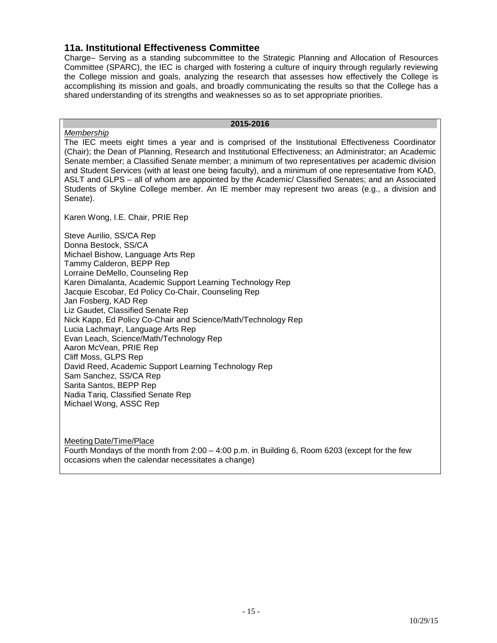#### **11a. Institutional Effectiveness Committee**

Charge– Serving as a standing subcommittee to the Strategic Planning and Allocation of Resources Committee (SPARC), the IEC is charged with fostering a culture of inquiry through regularly reviewing the College mission and goals, analyzing the research that assesses how effectively the College is accomplishing its mission and goals, and broadly communicating the results so that the College has a shared understanding of its strengths and weaknesses so as to set appropriate priorities.

#### **2015-2016**

*Membership* The IEC meets eight times a year and is comprised of the Institutional Effectiveness Coordinator (Chair); the Dean of Planning, Research and Institutional Effectiveness; an Administrator; an Academic Senate member; a Classified Senate member; a minimum of two representatives per academic division and Student Services (with at least one being faculty), and a minimum of one representative from KAD, ASLT and GLPS – all of whom are appointed by the Academic/ Classified Senates; and an Associated Students of Skyline College member. An IE member may represent two areas (e.g., a division and Senate).

Karen Wong, I.E. Chair, PRIE Rep

Steve Aurilio, SS/CA Rep Donna Bestock, SS/CA Michael Bishow, Language Arts Rep Tammy Calderon, BEPP Rep Lorraine DeMello, Counseling Rep Karen Dimalanta, Academic Support Learning Technology Rep Jacquie Escobar, Ed Policy Co-Chair, Counseling Rep Jan Fosberg, KAD Rep Liz Gaudet, Classified Senate Rep Nick Kapp, Ed Policy Co-Chair and Science/Math/Technology Rep Lucia Lachmayr, Language Arts Rep Evan Leach, Science/Math/Technology Rep Aaron McVean, PRIE Rep Cliff Moss, GLPS Rep David Reed, Academic Support Learning Technology Rep Sam Sanchez, SS/CA Rep Sarita Santos, BEPP Rep Nadia Tariq, Classified Senate Rep Michael Wong, ASSC Rep

Meeting Date/Time/Place Fourth Mondays of the month from 2:00 – 4:00 p.m. in Building 6, Room 6203 (except for the few occasions when the calendar necessitates a change)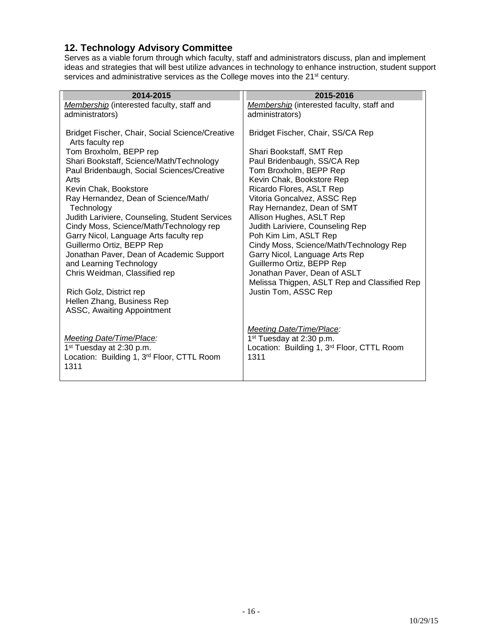#### <span id="page-15-0"></span>**12. Technology Advisory Committee**

Serves as a viable forum through which faculty, staff and administrators discuss, plan and implement ideas and strategies that will best utilize advances in technology to enhance instruction, student support services and administrative services as the College moves into the 21<sup>st</sup> century.

| 2014-2015                                                                           | 2015-2016                                    |
|-------------------------------------------------------------------------------------|----------------------------------------------|
| Membership (interested faculty, staff and                                           | Membership (interested faculty, staff and    |
| administrators)                                                                     | administrators)                              |
| Bridget Fischer, Chair, Social Science/Creative                                     | Bridget Fischer, Chair, SS/CA Rep            |
| Arts faculty rep                                                                    | Shari Bookstaff, SMT Rep                     |
| Tom Broxholm, BEPP rep                                                              | Paul Bridenbaugh, SS/CA Rep                  |
| Shari Bookstaff, Science/Math/Technology                                            | Tom Broxholm, BEPP Rep                       |
| Paul Bridenbaugh, Social Sciences/Creative                                          | Kevin Chak, Bookstore Rep                    |
| Arts                                                                                | Ricardo Flores, ASLT Rep                     |
| Kevin Chak, Bookstore                                                               | Vitoria Goncalvez, ASSC Rep                  |
| Ray Hernandez, Dean of Science/Math/                                                | Ray Hernandez, Dean of SMT                   |
| Technology                                                                          | Allison Hughes, ASLT Rep                     |
| Judith Lariviere, Counseling, Student Services                                      | Judith Lariviere, Counseling Rep             |
| Cindy Moss, Science/Math/Technology rep                                             | Poh Kim Lim, ASLT Rep                        |
| Garry Nicol, Language Arts faculty rep                                              | Cindy Moss, Science/Math/Technology Rep      |
| Guillermo Ortiz, BEPP Rep                                                           | Garry Nicol, Language Arts Rep               |
| Jonathan Paver, Dean of Academic Support                                            | Guillermo Ortiz, BEPP Rep                    |
| and Learning Technology                                                             | Jonathan Paver, Dean of ASLT                 |
| Chris Weidman, Classified rep                                                       | Melissa Thigpen, ASLT Rep and Classified Rep |
| Rich Golz, District rep<br>Hellen Zhang, Business Rep<br>ASSC, Awaiting Appointment | Justin Tom, ASSC Rep                         |
| <b>Meeting Date/Time/Place:</b>                                                     | Meeting Date/Time/Place:                     |
| $1st$ Tuesday at 2:30 p.m.                                                          | 1 <sup>st</sup> Tuesday at 2:30 p.m.         |
| Location: Building 1, 3rd Floor, CTTL Room                                          | Location: Building 1, 3rd Floor, CTTL Room   |
| 1311                                                                                | 1311                                         |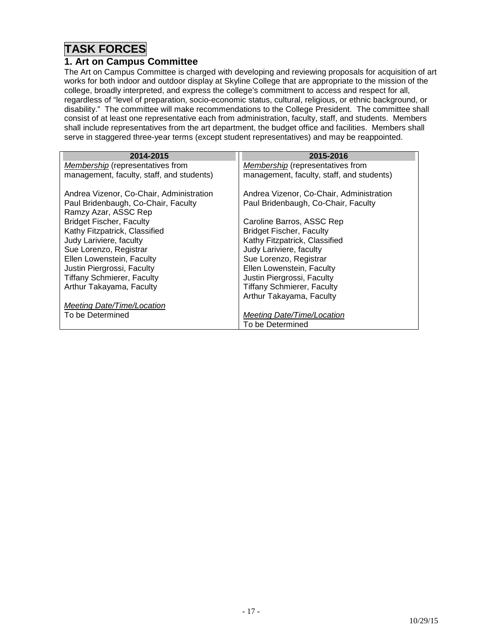# **TASK FORCES**

#### <span id="page-16-0"></span>**1. Art on Campus Committee**

The Art on Campus Committee is charged with developing and reviewing proposals for acquisition of art works for both indoor and outdoor display at Skyline College that are appropriate to the mission of the college, broadly interpreted, and express the college's commitment to access and respect for all, regardless of "level of preparation, socio-economic status, cultural, religious, or ethnic background, or disability." The committee will make recommendations to the College President. The committee shall consist of at least one representative each from administration, faculty, staff, and students. Members shall include representatives from the art department, the budget office and facilities. Members shall serve in staggered three-year terms (except student representatives) and may be reappointed.

| 2014-2015                                 | 2015-2016                                 |
|-------------------------------------------|-------------------------------------------|
| Membership (representatives from          | Membership (representatives from          |
| management, faculty, staff, and students) | management, faculty, staff, and students) |
| Andrea Vizenor, Co-Chair, Administration  | Andrea Vizenor, Co-Chair, Administration  |
| Paul Bridenbaugh, Co-Chair, Faculty       | Paul Bridenbaugh, Co-Chair, Faculty       |
| Ramzy Azar, ASSC Rep                      |                                           |
| <b>Bridget Fischer, Faculty</b>           | Caroline Barros, ASSC Rep                 |
| Kathy Fitzpatrick, Classified             | <b>Bridget Fischer, Faculty</b>           |
| Judy Lariviere, faculty                   | Kathy Fitzpatrick, Classified             |
| Sue Lorenzo, Registrar                    | Judy Lariviere, faculty                   |
| Ellen Lowenstein, Faculty                 | Sue Lorenzo, Registrar                    |
| Justin Piergrossi, Faculty                | Ellen Lowenstein, Faculty                 |
| <b>Tiffany Schmierer, Faculty</b>         | Justin Piergrossi, Faculty                |
| Arthur Takayama, Faculty                  | <b>Tiffany Schmierer, Faculty</b>         |
|                                           | Arthur Takayama, Faculty                  |
| Meeting Date/Time/Location                |                                           |
| To be Determined                          | Meeting Date/Time/Location                |
|                                           | To be Determined                          |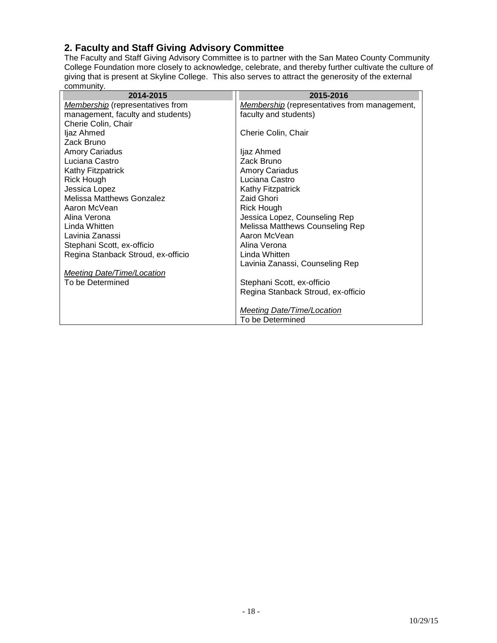# <span id="page-17-0"></span>**2. Faculty and Staff Giving Advisory Committee**

The Faculty and Staff Giving Advisory Committee is to partner with the San Mateo County Community College Foundation more closely to acknowledge, celebrate, and thereby further cultivate the culture of giving that is present at Skyline College. This also serves to attract the generosity of the external community.

| 2014-2015                               | 2015-2016                                           |
|-----------------------------------------|-----------------------------------------------------|
| <b>Membership</b> (representatives from | <b>Membership</b> (representatives from management, |
| management, faculty and students)       | faculty and students)                               |
| Cherie Colin, Chair                     |                                                     |
| ljaz Ahmed                              | Cherie Colin, Chair                                 |
| Zack Bruno                              |                                                     |
| <b>Amory Cariadus</b>                   | ljaz Ahmed                                          |
| Luciana Castro                          | Zack Bruno                                          |
| <b>Kathy Fitzpatrick</b>                | <b>Amory Cariadus</b>                               |
| <b>Rick Hough</b>                       | Luciana Castro                                      |
| Jessica Lopez                           | Kathy Fitzpatrick                                   |
| <b>Melissa Matthews Gonzalez</b>        | Zaid Ghori                                          |
| Aaron McVean                            | Rick Hough                                          |
| Alina Verona                            | Jessica Lopez, Counseling Rep                       |
| Linda Whitten                           | Melissa Matthews Counseling Rep                     |
| Lavinia Zanassi                         | Aaron McVean                                        |
| Stephani Scott, ex-officio              | Alina Verona                                        |
| Regina Stanback Stroud, ex-officio      | Linda Whitten                                       |
|                                         | Lavinia Zanassi, Counseling Rep                     |
| <b>Meeting Date/Time/Location</b>       |                                                     |
| To be Determined                        | Stephani Scott, ex-officio                          |
|                                         | Regina Stanback Stroud, ex-officio                  |
|                                         |                                                     |
|                                         | <b>Meeting Date/Time/Location</b>                   |
|                                         | To be Determined                                    |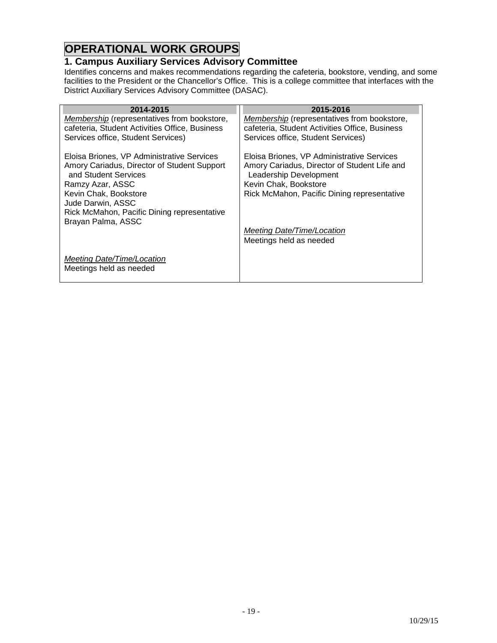# **OPERATIONAL WORK GROUPS**

### <span id="page-18-0"></span>**1. Campus Auxiliary Services Advisory Committee**

Identifies concerns and makes recommendations regarding the cafeteria, bookstore, vending, and some facilities to the President or the Chancellor's Office. This is a college committee that interfaces with the District Auxiliary Services Advisory Committee (DASAC).

| 2014-2015                                                           | 2015-2016                                                              |
|---------------------------------------------------------------------|------------------------------------------------------------------------|
| Membership (representatives from bookstore,                         | Membership (representatives from bookstore,                            |
| cafeteria, Student Activities Office, Business                      | cafeteria, Student Activities Office, Business                         |
| Services office, Student Services)                                  | Services office, Student Services)                                     |
| Eloisa Briones, VP Administrative Services                          | Eloisa Briones, VP Administrative Services                             |
| Amory Cariadus, Director of Student Support<br>and Student Services | Amory Cariadus, Director of Student Life and<br>Leadership Development |
| Ramzy Azar, ASSC                                                    | Kevin Chak, Bookstore                                                  |
| Kevin Chak, Bookstore                                               | Rick McMahon, Pacific Dining representative                            |
| Jude Darwin, ASSC<br>Rick McMahon, Pacific Dining representative    |                                                                        |
| Brayan Palma, ASSC                                                  |                                                                        |
|                                                                     | Meeting Date/Time/Location<br>Meetings held as needed                  |
|                                                                     |                                                                        |
| Meeting Date/Time/Location<br>Meetings held as needed               |                                                                        |
|                                                                     |                                                                        |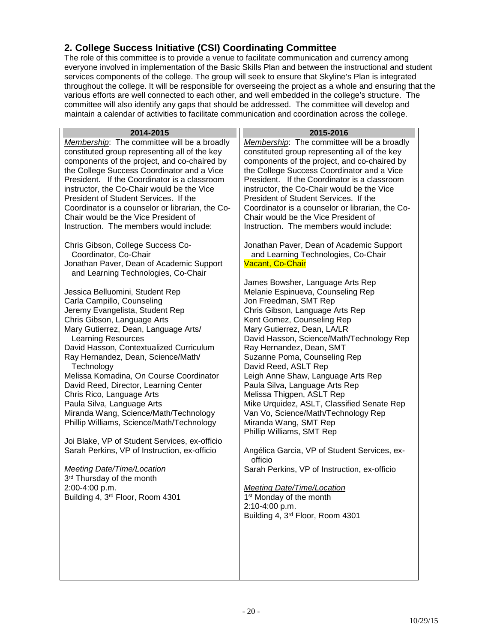## <span id="page-19-0"></span>**2. College Success Initiative (CSI) Coordinating Committee**

The role of this committee is to provide a venue to facilitate communication and currency among everyone involved in implementation of the Basic Skills Plan and between the instructional and student services components of the college. The group will seek to ensure that Skyline's Plan is integrated throughout the college. It will be responsible for overseeing the project as a whole and ensuring that the various efforts are well connected to each other, and well embedded in the college's structure. The committee will also identify any gaps that should be addressed. The committee will develop and maintain a calendar of activities to facilitate communication and coordination across the college.

| 2014-2015                                                                                                                                                                                                                                                                                                                                                                                                                                                                                                                                                                       | 2015-2016                                                                                                                                                                                                                                                                                                                                                                                                                                                                                                                                                                       |
|---------------------------------------------------------------------------------------------------------------------------------------------------------------------------------------------------------------------------------------------------------------------------------------------------------------------------------------------------------------------------------------------------------------------------------------------------------------------------------------------------------------------------------------------------------------------------------|---------------------------------------------------------------------------------------------------------------------------------------------------------------------------------------------------------------------------------------------------------------------------------------------------------------------------------------------------------------------------------------------------------------------------------------------------------------------------------------------------------------------------------------------------------------------------------|
| Membership: The committee will be a broadly<br>constituted group representing all of the key<br>components of the project, and co-chaired by<br>the College Success Coordinator and a Vice<br>President. If the Coordinator is a classroom<br>instructor, the Co-Chair would be the Vice<br>President of Student Services. If the<br>Coordinator is a counselor or librarian, the Co-<br>Chair would be the Vice President of<br>Instruction. The members would include:<br>Chris Gibson, College Success Co-                                                                   | Membership: The committee will be a broadly<br>constituted group representing all of the key<br>components of the project, and co-chaired by<br>the College Success Coordinator and a Vice<br>President. If the Coordinator is a classroom<br>instructor, the Co-Chair would be the Vice<br>President of Student Services. If the<br>Coordinator is a counselor or librarian, the Co-<br>Chair would be the Vice President of<br>Instruction. The members would include:<br>Jonathan Paver, Dean of Academic Support                                                            |
| Coordinator, Co-Chair                                                                                                                                                                                                                                                                                                                                                                                                                                                                                                                                                           | and Learning Technologies, Co-Chair<br>Vacant, Co-Chair                                                                                                                                                                                                                                                                                                                                                                                                                                                                                                                         |
| Jonathan Paver, Dean of Academic Support                                                                                                                                                                                                                                                                                                                                                                                                                                                                                                                                        |                                                                                                                                                                                                                                                                                                                                                                                                                                                                                                                                                                                 |
| and Learning Technologies, Co-Chair<br>Jessica Belluomini, Student Rep<br>Carla Campillo, Counseling<br>Jeremy Evangelista, Student Rep<br>Chris Gibson, Language Arts<br>Mary Gutierrez, Dean, Language Arts/<br><b>Learning Resources</b><br>David Hasson, Contextualized Curriculum<br>Ray Hernandez, Dean, Science/Math/<br>Technology<br>Melissa Komadina, On Course Coordinator<br>David Reed, Director, Learning Center<br>Chris Rico, Language Arts<br>Paula Silva, Language Arts<br>Miranda Wang, Science/Math/Technology<br>Phillip Williams, Science/Math/Technology | James Bowsher, Language Arts Rep<br>Melanie Espinueva, Counseling Rep<br>Jon Freedman, SMT Rep<br>Chris Gibson, Language Arts Rep<br>Kent Gomez, Counseling Rep<br>Mary Gutierrez, Dean, LA/LR<br>David Hasson, Science/Math/Technology Rep<br>Ray Hernandez, Dean, SMT<br>Suzanne Poma, Counseling Rep<br>David Reed, ASLT Rep<br>Leigh Anne Shaw, Language Arts Rep<br>Paula Silva, Language Arts Rep<br>Melissa Thigpen, ASLT Rep<br>Mike Urquidez, ASLT, Classified Senate Rep<br>Van Vo, Science/Math/Technology Rep<br>Miranda Wang, SMT Rep<br>Phillip Williams, SMT Rep |
| Joi Blake, VP of Student Services, ex-officio<br>Sarah Perkins, VP of Instruction, ex-officio                                                                                                                                                                                                                                                                                                                                                                                                                                                                                   | Angélica Garcia, VP of Student Services, ex-<br>officio                                                                                                                                                                                                                                                                                                                                                                                                                                                                                                                         |
| <b>Meeting Date/Time/Location</b><br>3rd Thursday of the month<br>2:00-4:00 p.m.<br>Building 4, 3 <sup>rd</sup> Floor, Room 4301                                                                                                                                                                                                                                                                                                                                                                                                                                                | Sarah Perkins, VP of Instruction, ex-officio<br><b>Meeting Date/Time/Location</b><br>1 <sup>st</sup> Monday of the month<br>2:10-4:00 p.m.<br>Building 4, 3rd Floor, Room 4301                                                                                                                                                                                                                                                                                                                                                                                                  |
|                                                                                                                                                                                                                                                                                                                                                                                                                                                                                                                                                                                 |                                                                                                                                                                                                                                                                                                                                                                                                                                                                                                                                                                                 |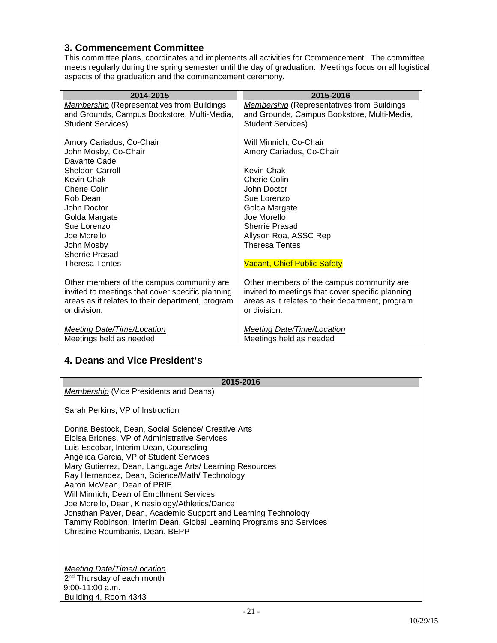#### <span id="page-20-0"></span>**3. Commencement Committee**

This committee plans, coordinates and implements all activities for Commencement. The committee meets regularly during the spring semester until the day of graduation. Meetings focus on all logistical aspects of the graduation and the commencement ceremony.

| 2014-2015                                         | 2015-2016                                         |
|---------------------------------------------------|---------------------------------------------------|
| <b>Membership (Representatives from Buildings</b> | <b>Membership</b> (Representatives from Buildings |
| and Grounds, Campus Bookstore, Multi-Media,       | and Grounds, Campus Bookstore, Multi-Media,       |
| <b>Student Services)</b>                          | <b>Student Services)</b>                          |
|                                                   |                                                   |
| Amory Cariadus, Co-Chair                          | Will Minnich, Co-Chair                            |
| John Mosby, Co-Chair                              | Amory Cariadus, Co-Chair                          |
| Davante Cade                                      |                                                   |
| <b>Sheldon Carroll</b>                            | <b>Kevin Chak</b>                                 |
| Kevin Chak                                        | Cherie Colin                                      |
| Cherie Colin                                      | John Doctor                                       |
| Rob Dean                                          | Sue Lorenzo                                       |
| John Doctor                                       | Golda Margate                                     |
| Golda Margate                                     | Joe Morello                                       |
| Sue Lorenzo                                       | <b>Sherrie Prasad</b>                             |
| Joe Morello                                       | Allyson Roa, ASSC Rep                             |
| John Mosby                                        | <b>Theresa Tentes</b>                             |
| <b>Sherrie Prasad</b>                             |                                                   |
| <b>Theresa Tentes</b>                             | <b>Vacant, Chief Public Safety</b>                |
|                                                   |                                                   |
| Other members of the campus community are         | Other members of the campus community are         |
| invited to meetings that cover specific planning  | invited to meetings that cover specific planning  |
| areas as it relates to their department, program  | areas as it relates to their department, program  |
| or division.                                      | or division.                                      |
| <b>Meeting Date/Time/Location</b>                 | <b>Meeting Date/Time/Location</b>                 |
| Meetings held as needed                           | Meetings held as needed                           |
|                                                   |                                                   |

## <span id="page-20-1"></span>**4. Deans and Vice President's**

# **2015-2016** *Membership* (Vice Presidents and Deans) Sarah Perkins, VP of Instruction Donna Bestock, Dean, Social Science/ Creative Arts Eloisa Briones, VP of Administrative Services Luis Escobar, Interim Dean, Counseling Angélica Garcia, VP of Student Services Mary Gutierrez, Dean, Language Arts/ Learning Resources Ray Hernandez, Dean, Science/Math/ Technology Aaron McVean, Dean of PRIE Will Minnich, Dean of Enrollment Services Joe Morello, Dean, Kinesiology/Athletics/Dance Jonathan Paver, Dean, Academic Support and Learning Technology Tammy Robinson, Interim Dean, Global Learning Programs and Services Christine Roumbanis, Dean, BEPP *Meeting Date/Time/Location* 2<sup>nd</sup> Thursday of each month 9:00-11:00 a.m.

Building 4, Room 4343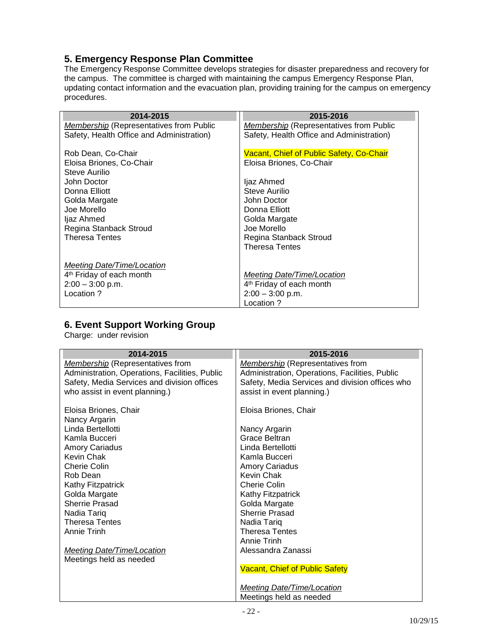# <span id="page-21-0"></span>**5. Emergency Response Plan Committee**

The Emergency Response Committee develops strategies for disaster preparedness and recovery for the campus. The committee is charged with maintaining the campus Emergency Response Plan, updating contact information and the evacuation plan, providing training for the campus on emergency procedures.

| 2014-2015                                      | 2015-2016                                      |
|------------------------------------------------|------------------------------------------------|
| <i>Membership</i> (Representatives from Public | <i>Membership</i> (Representatives from Public |
| Safety, Health Office and Administration)      | Safety, Health Office and Administration)      |
|                                                |                                                |
| Rob Dean, Co-Chair                             | Vacant, Chief of Public Safety, Co-Chair       |
| Eloisa Briones, Co-Chair                       | Eloisa Briones, Co-Chair                       |
| Steve Aurilio                                  |                                                |
| John Doctor                                    | ljaz Ahmed                                     |
| Donna Elliott                                  | Steve Aurilio                                  |
| Golda Margate                                  | John Doctor                                    |
| Joe Morello                                    | Donna Elliott                                  |
| ljaz Ahmed                                     | Golda Margate                                  |
| Regina Stanback Stroud                         | Joe Morello                                    |
| <b>Theresa Tentes</b>                          | Regina Stanback Stroud                         |
|                                                | <b>Theresa Tentes</b>                          |
|                                                |                                                |
| Meeting Date/Time/Location                     |                                                |
| 4 <sup>th</sup> Friday of each month           | Meeting Date/Time/Location                     |
| $2:00 - 3:00$ p.m.                             | 4 <sup>th</sup> Friday of each month           |
| Location ?                                     | $2:00 - 3:00$ p.m.                             |
|                                                | Location ?                                     |

#### <span id="page-21-1"></span>**6. Event Support Working Group**

Charge: under revision

| 2014-2015                                      | 2015-2016                                       |
|------------------------------------------------|-------------------------------------------------|
| <b>Membership</b> (Representatives from        | <b>Membership</b> (Representatives from         |
| Administration, Operations, Facilities, Public | Administration, Operations, Facilities, Public  |
| Safety, Media Services and division offices    | Safety, Media Services and division offices who |
| who assist in event planning.)                 | assist in event planning.)                      |
|                                                |                                                 |
| Eloisa Briones, Chair                          | Eloisa Briones, Chair                           |
| Nancy Argarin                                  |                                                 |
| Linda Bertellotti                              | Nancy Argarin                                   |
| Kamla Bucceri                                  | Grace Beltran                                   |
| <b>Amory Cariadus</b>                          | Linda Bertellotti                               |
| Kevin Chak                                     | Kamla Bucceri                                   |
| Cherie Colin                                   | <b>Amory Cariadus</b>                           |
| Rob Dean                                       | Kevin Chak                                      |
| Kathy Fitzpatrick                              | Cherie Colin                                    |
| Golda Margate                                  | Kathy Fitzpatrick                               |
| Sherrie Prasad                                 | Golda Margate                                   |
| Nadia Tariq                                    | <b>Sherrie Prasad</b>                           |
| <b>Theresa Tentes</b>                          | Nadia Tariq                                     |
| Annie Trinh                                    | <b>Theresa Tentes</b>                           |
|                                                | Annie Trinh                                     |
| <b>Meeting Date/Time/Location</b>              | Alessandra Zanassi                              |
| Meetings held as needed                        |                                                 |
|                                                | <b>Vacant, Chief of Public Safety</b>           |
|                                                |                                                 |
|                                                | <b>Meeting Date/Time/Location</b>               |
|                                                | Meetings held as needed                         |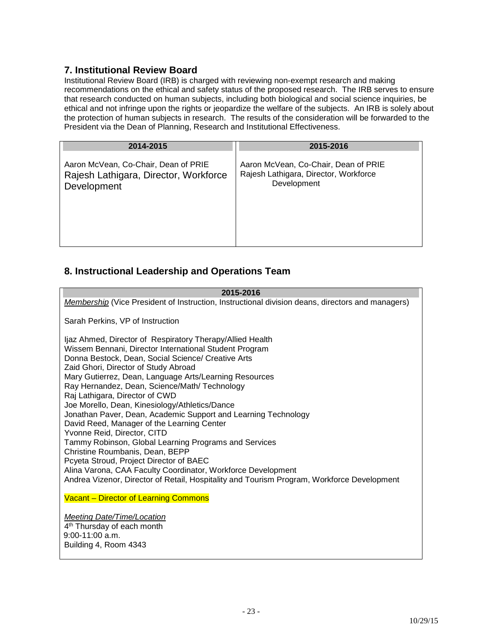#### <span id="page-22-0"></span>**7. Institutional Review Board**

Institutional Review Board (IRB) is charged with reviewing non-exempt research and making recommendations on the ethical and safety status of the proposed research. The IRB serves to ensure that research conducted on human subjects, including both biological and social science inquiries, be ethical and not infringe upon the rights or jeopardize the welfare of the subjects. An IRB is solely about the protection of human subjects in research. The results of the consideration will be forwarded to the President via the Dean of Planning, Research and Institutional Effectiveness.

| 2014-2015                             | 2015-2016                             |
|---------------------------------------|---------------------------------------|
| Aaron McVean, Co-Chair, Dean of PRIE  | Aaron McVean, Co-Chair, Dean of PRIE  |
| Rajesh Lathigara, Director, Workforce | Rajesh Lathigara, Director, Workforce |
| Development                           | Development                           |

# <span id="page-22-1"></span>**8. Instructional Leadership and Operations Team**

<span id="page-22-2"></span>

| 2015-2016                                                                                                                                                                                                                                                                                                                                                                                                                                                                                                                                                                                                                                                                                                                                                                                                                                                            |
|----------------------------------------------------------------------------------------------------------------------------------------------------------------------------------------------------------------------------------------------------------------------------------------------------------------------------------------------------------------------------------------------------------------------------------------------------------------------------------------------------------------------------------------------------------------------------------------------------------------------------------------------------------------------------------------------------------------------------------------------------------------------------------------------------------------------------------------------------------------------|
| <b>Membership</b> (Vice President of Instruction, Instructional division deans, directors and managers)                                                                                                                                                                                                                                                                                                                                                                                                                                                                                                                                                                                                                                                                                                                                                              |
| Sarah Perkins, VP of Instruction                                                                                                                                                                                                                                                                                                                                                                                                                                                                                                                                                                                                                                                                                                                                                                                                                                     |
| Ijaz Ahmed, Director of Respiratory Therapy/Allied Health<br>Wissem Bennani, Director International Student Program<br>Donna Bestock, Dean, Social Science/ Creative Arts<br>Zaid Ghori, Director of Study Abroad<br>Mary Gutierrez, Dean, Language Arts/Learning Resources<br>Ray Hernandez, Dean, Science/Math/ Technology<br>Raj Lathigara, Director of CWD<br>Joe Morello, Dean, Kinesiology/Athletics/Dance<br>Jonathan Paver, Dean, Academic Support and Learning Technology<br>David Reed, Manager of the Learning Center<br>Yvonne Reid, Director, CITD<br>Tammy Robinson, Global Learning Programs and Services<br>Christine Roumbanis, Dean, BEPP<br>Pcyeta Stroud, Project Director of BAEC<br>Alina Varona, CAA Faculty Coordinator, Workforce Development<br>Andrea Vizenor, Director of Retail, Hospitality and Tourism Program, Workforce Development |
| <b>Vacant - Director of Learning Commons</b>                                                                                                                                                                                                                                                                                                                                                                                                                                                                                                                                                                                                                                                                                                                                                                                                                         |
| <b>Meeting Date/Time/Location</b><br>4 <sup>th</sup> Thursday of each month                                                                                                                                                                                                                                                                                                                                                                                                                                                                                                                                                                                                                                                                                                                                                                                          |
| $9:00-11:00$ a.m.                                                                                                                                                                                                                                                                                                                                                                                                                                                                                                                                                                                                                                                                                                                                                                                                                                                    |
| Building 4, Room 4343                                                                                                                                                                                                                                                                                                                                                                                                                                                                                                                                                                                                                                                                                                                                                                                                                                                |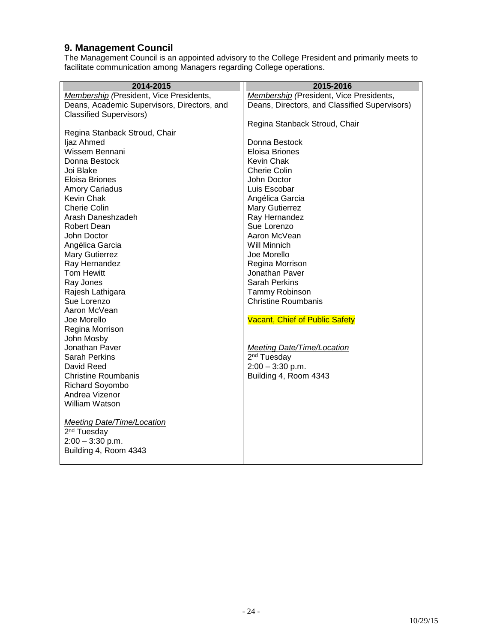#### **9. Management Council**

The Management Council is an appointed advisory to the College President and primarily meets to facilitate communication among Managers regarding College operations.

| 2014-2015                                     | 2015-2016                                     |
|-----------------------------------------------|-----------------------------------------------|
| Membership (President, Vice Presidents,       | Membership (President, Vice Presidents,       |
| Deans, Academic Supervisors, Directors, and   | Deans, Directors, and Classified Supervisors) |
| <b>Classified Supervisors)</b>                |                                               |
|                                               | Regina Stanback Stroud, Chair                 |
| Regina Stanback Stroud, Chair                 |                                               |
| ljaz Ahmed                                    | Donna Bestock                                 |
| Wissem Bennani                                | <b>Eloisa Briones</b>                         |
| Donna Bestock                                 | Kevin Chak                                    |
| Joi Blake                                     | <b>Cherie Colin</b>                           |
| Eloisa Briones                                | John Doctor                                   |
| <b>Amory Cariadus</b>                         | Luis Escobar                                  |
| Kevin Chak                                    | Angélica Garcia                               |
| <b>Cherie Colin</b>                           | Mary Gutierrez                                |
| Arash Daneshzadeh                             | Ray Hernandez                                 |
| <b>Robert Dean</b>                            | Sue Lorenzo                                   |
| John Doctor                                   | Aaron McVean                                  |
| Angélica Garcia                               | Will Minnich                                  |
| Mary Gutierrez                                | Joe Morello                                   |
| Ray Hernandez                                 | Regina Morrison                               |
| Tom Hewitt                                    | Jonathan Paver                                |
| Ray Jones                                     | <b>Sarah Perkins</b>                          |
| Rajesh Lathigara                              | Tammy Robinson                                |
| Sue Lorenzo                                   | <b>Christine Roumbanis</b>                    |
| Aaron McVean                                  |                                               |
| Joe Morello                                   | <b>Vacant, Chief of Public Safety</b>         |
| Regina Morrison                               |                                               |
| John Mosby                                    |                                               |
| Jonathan Paver                                | Meeting Date/Time/Location                    |
| <b>Sarah Perkins</b>                          | 2 <sup>nd</sup> Tuesday                       |
| David Reed                                    | $2:00 - 3:30$ p.m.                            |
| <b>Christine Roumbanis</b>                    | Building 4, Room 4343                         |
| Richard Soyombo                               |                                               |
| Andrea Vizenor                                |                                               |
| William Watson                                |                                               |
|                                               |                                               |
| <b>Meeting Date/Time/Location</b>             |                                               |
| 2 <sup>nd</sup> Tuesday<br>$2:00 - 3:30$ p.m. |                                               |
|                                               |                                               |
| Building 4, Room 4343                         |                                               |
|                                               |                                               |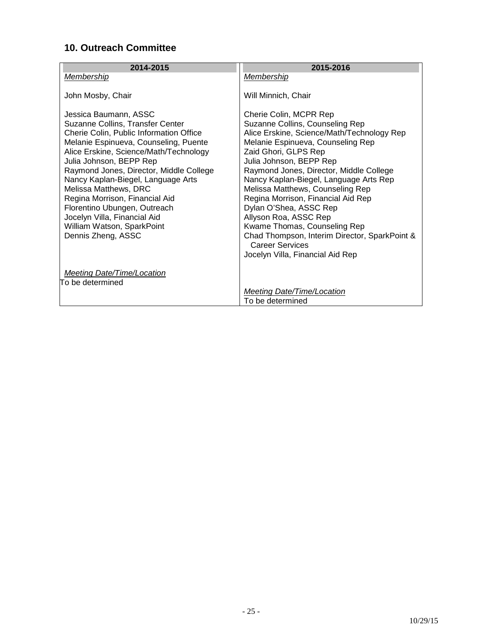# <span id="page-24-0"></span>**10. Outreach Committee**

| 2014-2015                                                         | 2015-2016                                                               |
|-------------------------------------------------------------------|-------------------------------------------------------------------------|
| <b>Membership</b>                                                 | Membership                                                              |
| John Mosby, Chair                                                 | Will Minnich, Chair                                                     |
| Jessica Baumann, ASSC                                             | Cherie Colin, MCPR Rep                                                  |
| Suzanne Collins, Transfer Center                                  | Suzanne Collins, Counseling Rep                                         |
| Cherie Colin, Public Information Office                           | Alice Erskine, Science/Math/Technology Rep                              |
| Melanie Espinueva, Counseling, Puente                             | Melanie Espinueva, Counseling Rep                                       |
| Alice Erskine, Science/Math/Technology<br>Julia Johnson, BEPP Rep | Zaid Ghori, GLPS Rep<br>Julia Johnson, BEPP Rep                         |
| Raymond Jones, Director, Middle College                           | Raymond Jones, Director, Middle College                                 |
| Nancy Kaplan-Biegel, Language Arts                                | Nancy Kaplan-Biegel, Language Arts Rep                                  |
| Melissa Matthews, DRC                                             | Melissa Matthews, Counseling Rep                                        |
| Regina Morrison, Financial Aid                                    | Regina Morrison, Financial Aid Rep                                      |
| Florentino Ubungen, Outreach                                      | Dylan O'Shea, ASSC Rep                                                  |
| Jocelyn Villa, Financial Aid                                      | Allyson Roa, ASSC Rep                                                   |
| William Watson, SparkPoint                                        | Kwame Thomas, Counseling Rep                                            |
| Dennis Zheng, ASSC                                                | Chad Thompson, Interim Director, SparkPoint &<br><b>Career Services</b> |
|                                                                   | Jocelyn Villa, Financial Aid Rep                                        |
| Meeting Date/Time/Location                                        |                                                                         |
| To be determined                                                  |                                                                         |
|                                                                   | Meeting Date/Time/Location                                              |
|                                                                   | To be determined                                                        |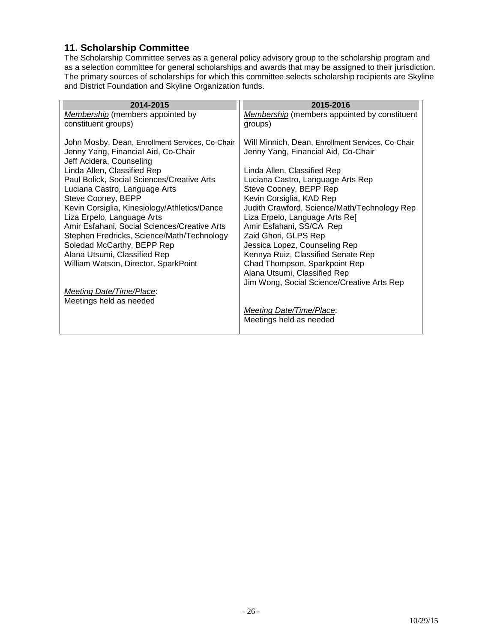#### <span id="page-25-0"></span>**11. Scholarship Committee**

The Scholarship Committee serves as a general policy advisory group to the scholarship program and as a selection committee for general scholarships and awards that may be assigned to their jurisdiction. The primary sources of scholarships for which this committee selects scholarship recipients are Skyline and District Foundation and Skyline Organization funds.

| 2014-2015                                                                                                                                                                                                                                                                                            | 2015-2016                                                                                                                                                                                                                                                                                                                                            |
|------------------------------------------------------------------------------------------------------------------------------------------------------------------------------------------------------------------------------------------------------------------------------------------------------|------------------------------------------------------------------------------------------------------------------------------------------------------------------------------------------------------------------------------------------------------------------------------------------------------------------------------------------------------|
| <b>Membership</b> (members appointed by                                                                                                                                                                                                                                                              | <b>Membership</b> (members appointed by constituent                                                                                                                                                                                                                                                                                                  |
| constituent groups)                                                                                                                                                                                                                                                                                  | groups)                                                                                                                                                                                                                                                                                                                                              |
| John Mosby, Dean, Enrollment Services, Co-Chair<br>Jenny Yang, Financial Aid, Co-Chair<br>Jeff Acidera, Counseling                                                                                                                                                                                   | Will Minnich, Dean, Enrollment Services, Co-Chair<br>Jenny Yang, Financial Aid, Co-Chair                                                                                                                                                                                                                                                             |
| Linda Allen, Classified Rep                                                                                                                                                                                                                                                                          | Linda Allen, Classified Rep                                                                                                                                                                                                                                                                                                                          |
| Paul Bolick, Social Sciences/Creative Arts                                                                                                                                                                                                                                                           | Luciana Castro, Language Arts Rep                                                                                                                                                                                                                                                                                                                    |
| Luciana Castro, Language Arts                                                                                                                                                                                                                                                                        | Steve Cooney, BEPP Rep                                                                                                                                                                                                                                                                                                                               |
| Steve Cooney, BEPP<br>Kevin Corsiglia, Kinesiology/Athletics/Dance<br>Liza Erpelo, Language Arts<br>Amir Esfahani, Social Sciences/Creative Arts<br>Stephen Fredricks, Science/Math/Technology<br>Soledad McCarthy, BEPP Rep<br>Alana Utsumi, Classified Rep<br>William Watson, Director, SparkPoint | Kevin Corsiglia, KAD Rep<br>Judith Crawford, Science/Math/Technology Rep<br>Liza Erpelo, Language Arts Ref<br>Amir Esfahani, SS/CA Rep<br>Zaid Ghori, GLPS Rep<br>Jessica Lopez, Counseling Rep<br>Kennya Ruiz, Classified Senate Rep<br>Chad Thompson, Sparkpoint Rep<br>Alana Utsumi, Classified Rep<br>Jim Wong, Social Science/Creative Arts Rep |
| <b>Meeting Date/Time/Place:</b>                                                                                                                                                                                                                                                                      |                                                                                                                                                                                                                                                                                                                                                      |
| Meetings held as needed                                                                                                                                                                                                                                                                              |                                                                                                                                                                                                                                                                                                                                                      |
|                                                                                                                                                                                                                                                                                                      | Meeting Date/Time/Place:                                                                                                                                                                                                                                                                                                                             |
|                                                                                                                                                                                                                                                                                                      | Meetings held as needed                                                                                                                                                                                                                                                                                                                              |